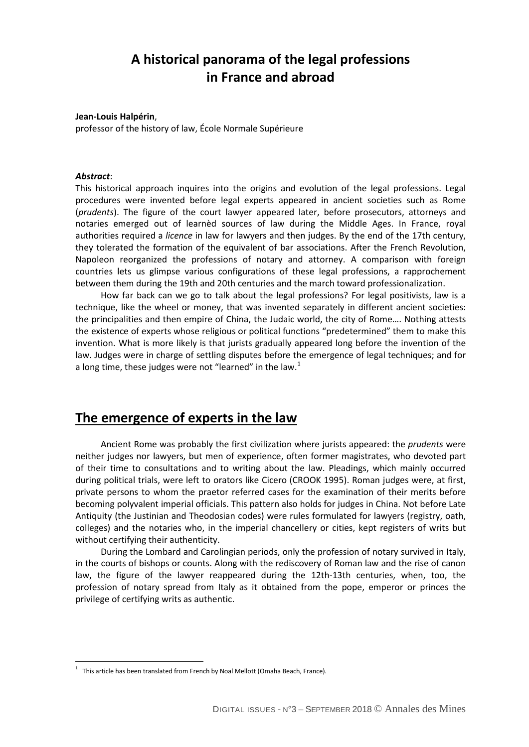## **A historical panorama of the legal professions in France and abroad**

#### **Jean-Louis Halpérin**,

professor of the history of law, École Normale Supérieure

#### *Abstract*:

 $\overline{a}$ 

This historical approach inquires into the origins and evolution of the legal professions. Legal procedures were invented before legal experts appeared in ancient societies such as Rome (*prudents*). The figure of the court lawyer appeared later, before prosecutors, attorneys and notaries emerged out of learnèd sources of law during the Middle Ages. In France, royal authorities required a *licence* in law for lawyers and then judges. By the end of the 17th century, they tolerated the formation of the equivalent of bar associations. After the French Revolution, Napoleon reorganized the professions of notary and attorney. A comparison with foreign countries lets us glimpse various configurations of these legal professions, a rapprochement between them during the 19th and 20th centuries and the march toward professionalization.

How far back can we go to talk about the legal professions? For legal positivists, law is a technique, like the wheel or money, that was invented separately in different ancient societies: the principalities and then empire of China, the Judaic world, the city of Rome…. Nothing attests the existence of experts whose religious or political functions "predetermined" them to make this invention. What is more likely is that jurists gradually appeared long before the invention of the law. Judges were in charge of settling disputes before the emergence of legal techniques; and for a long time, these judges were not "learned" in the law.<sup>[1](#page-0-0)</sup>

### **The emergence of experts in the law**

Ancient Rome was probably the first civilization where jurists appeared: the *prudents* were neither judges nor lawyers, but men of experience, often former magistrates, who devoted part of their time to consultations and to writing about the law. Pleadings, which mainly occurred during political trials, were left to orators like Cicero (CROOK 1995). Roman judges were, at first, private persons to whom the praetor referred cases for the examination of their merits before becoming polyvalent imperial officials. This pattern also holds for judges in China. Not before Late Antiquity (the Justinian and Theodosian codes) were rules formulated for lawyers (registry, oath, colleges) and the notaries who, in the imperial chancellery or cities, kept registers of writs but without certifying their authenticity.

During the Lombard and Carolingian periods, only the profession of notary survived in Italy, in the courts of bishops or counts. Along with the rediscovery of Roman law and the rise of canon law, the figure of the lawyer reappeared during the 12th-13th centuries, when, too, the profession of notary spread from Italy as it obtained from the pope, emperor or princes the privilege of certifying writs as authentic.

<span id="page-0-0"></span> $1$  This article has been translated from French by Noal Mellott (Omaha Beach, France).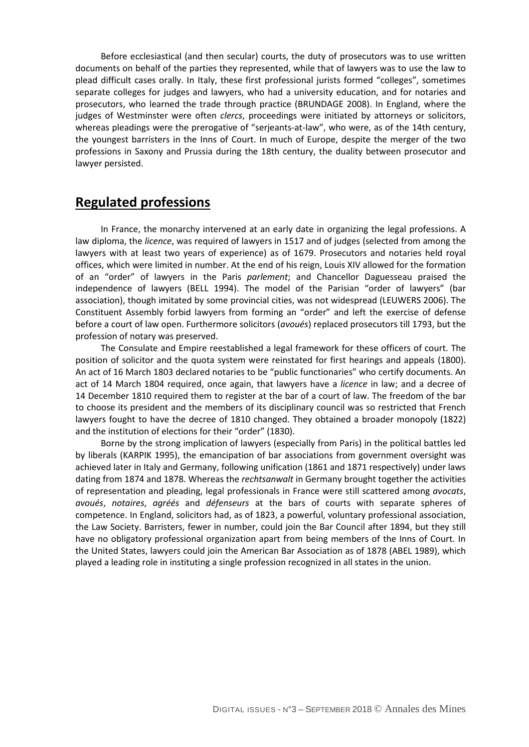Before ecclesiastical (and then secular) courts, the duty of prosecutors was to use written documents on behalf of the parties they represented, while that of lawyers was to use the law to plead difficult cases orally. In Italy, these first professional jurists formed "colleges", sometimes separate colleges for judges and lawyers, who had a university education, and for notaries and prosecutors, who learned the trade through practice (BRUNDAGE 2008). In England, where the judges of Westminster were often *clercs*, proceedings were initiated by attorneys or solicitors, whereas pleadings were the prerogative of "serjeants-at-law", who were, as of the 14th century, the youngest barristers in the Inns of Court. In much of Europe, despite the merger of the two professions in Saxony and Prussia during the 18th century, the duality between prosecutor and lawyer persisted.

## **Regulated professions**

In France, the monarchy intervened at an early date in organizing the legal professions. A law diploma, the *licence*, was required of lawyers in 1517 and of judges (selected from among the lawyers with at least two years of experience) as of 1679. Prosecutors and notaries held royal offices, which were limited in number. At the end of his reign, Louis XIV allowed for the formation of an "order" of lawyers in the Paris *parlement*; and Chancellor Daguesseau praised the independence of lawyers (BELL 1994). The model of the Parisian "order of lawyers" (bar association), though imitated by some provincial cities, was not widespread (LEUWERS 2006). The Constituent Assembly forbid lawyers from forming an "order" and left the exercise of defense before a court of law open. Furthermore solicitors (*avoués*) replaced prosecutors till 1793, but the profession of notary was preserved.

The Consulate and Empire reestablished a legal framework for these officers of court. The position of solicitor and the quota system were reinstated for first hearings and appeals (1800). An act of 16 March 1803 declared notaries to be "public functionaries" who certify documents. An act of 14 March 1804 required, once again, that lawyers have a *licence* in law; and a decree of 14 December 1810 required them to register at the bar of a court of law. The freedom of the bar to choose its president and the members of its disciplinary council was so restricted that French lawyers fought to have the decree of 1810 changed. They obtained a broader monopoly (1822) and the institution of elections for their "order" (1830).

Borne by the strong implication of lawyers (especially from Paris) in the political battles led by liberals (KARPIK 1995), the emancipation of bar associations from government oversight was achieved later in Italy and Germany, following unification (1861 and 1871 respectively) under laws dating from 1874 and 1878. Whereas the *rechtsanwalt* in Germany brought together the activities of representation and pleading, legal professionals in France were still scattered among *avocats*, *avoués*, *notaires*, *agréés* and *défenseurs* at the bars of courts with separate spheres of competence. In England, solicitors had, as of 1823, a powerful, voluntary professional association, the Law Society. Barristers, fewer in number, could join the Bar Council after 1894, but they still have no obligatory professional organization apart from being members of the Inns of Court. In the United States, lawyers could join the American Bar Association as of 1878 (ABEL 1989), which played a leading role in instituting a single profession recognized in all states in the union.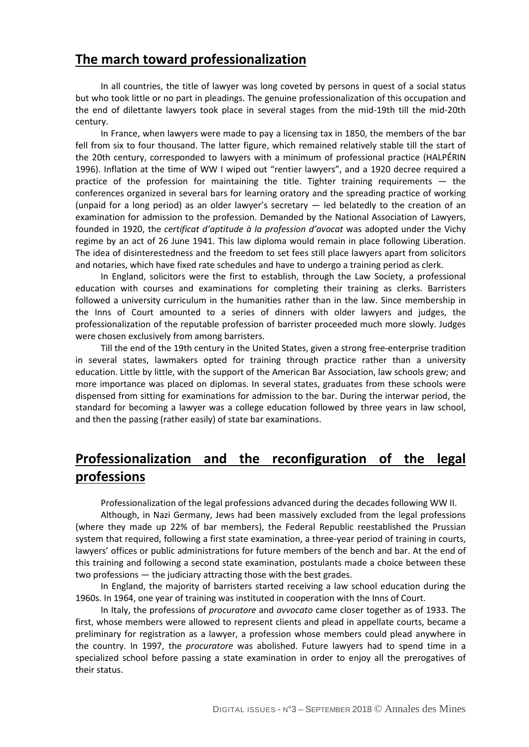## **The march toward professionalization**

In all countries, the title of lawyer was long coveted by persons in quest of a social status but who took little or no part in pleadings. The genuine professionalization of this occupation and the end of dilettante lawyers took place in several stages from the mid-19th till the mid-20th century.

In France, when lawyers were made to pay a licensing tax in 1850, the members of the bar fell from six to four thousand. The latter figure, which remained relatively stable till the start of the 20th century, corresponded to lawyers with a minimum of professional practice (HALPÉRIN 1996). Inflation at the time of WW I wiped out "rentier lawyers", and a 1920 decree required a practice of the profession for maintaining the title. Tighter training requirements — the conferences organized in several bars for learning oratory and the spreading practice of working (unpaid for a long period) as an older lawyer's secretary — led belatedly to the creation of an examination for admission to the profession. Demanded by the National Association of Lawyers, founded in 1920, the *certificat d'aptitude à la profession d'avocat* was adopted under the Vichy regime by an act of 26 June 1941. This law diploma would remain in place following Liberation. The idea of disinterestedness and the freedom to set fees still place lawyers apart from solicitors and notaries, which have fixed rate schedules and have to undergo a training period as clerk.

In England, solicitors were the first to establish, through the Law Society, a professional education with courses and examinations for completing their training as clerks. Barristers followed a university curriculum in the humanities rather than in the law. Since membership in the Inns of Court amounted to a series of dinners with older lawyers and judges, the professionalization of the reputable profession of barrister proceeded much more slowly. Judges were chosen exclusively from among barristers.

Till the end of the 19th century in the United States, given a strong free-enterprise tradition in several states, lawmakers opted for training through practice rather than a university education. Little by little, with the support of the American Bar Association, law schools grew; and more importance was placed on diplomas. In several states, graduates from these schools were dispensed from sitting for examinations for admission to the bar. During the interwar period, the standard for becoming a lawyer was a college education followed by three years in law school, and then the passing (rather easily) of state bar examinations.

## **Professionalization and the reconfiguration of the legal professions**

Professionalization of the legal professions advanced during the decades following WW II.

Although, in Nazi Germany, Jews had been massively excluded from the legal professions (where they made up 22% of bar members), the Federal Republic reestablished the Prussian system that required, following a first state examination, a three-year period of training in courts, lawyers' offices or public administrations for future members of the bench and bar. At the end of this training and following a second state examination, postulants made a choice between these two professions — the judiciary attracting those with the best grades.

In England, the majority of barristers started receiving a law school education during the 1960s. In 1964, one year of training was instituted in cooperation with the Inns of Court.

In Italy, the professions of *procuratore* and *avvocato* came closer together as of 1933. The first, whose members were allowed to represent clients and plead in appellate courts, became a preliminary for registration as a lawyer, a profession whose members could plead anywhere in the country. In 1997, the *procuratore* was abolished. Future lawyers had to spend time in a specialized school before passing a state examination in order to enjoy all the prerogatives of their status.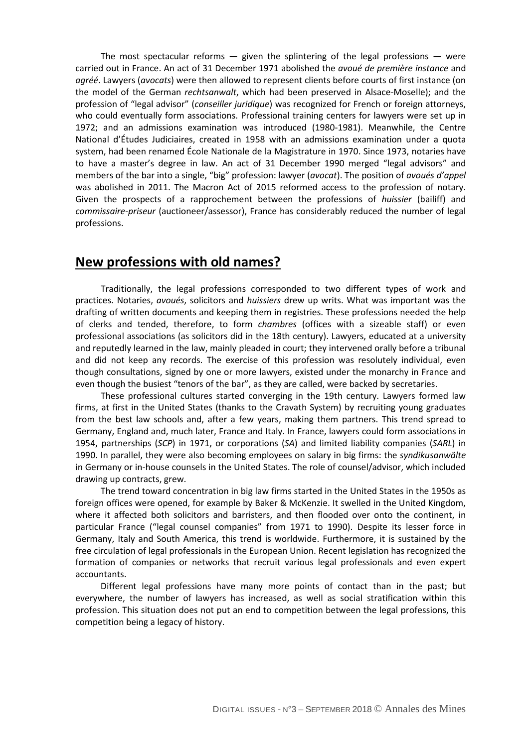The most spectacular reforms  $-$  given the splintering of the legal professions  $-$  were carried out in France. An act of 31 December 1971 abolished the *avoué de première instance* and *agréé*. Lawyers (*avocats*) were then allowed to represent clients before courts of first instance (on the model of the German *rechtsanwalt*, which had been preserved in Alsace-Moselle); and the profession of "legal advisor" (*conseiller juridique*) was recognized for French or foreign attorneys, who could eventually form associations. Professional training centers for lawyers were set up in 1972; and an admissions examination was introduced (1980-1981). Meanwhile, the Centre National d'Études Judiciaires, created in 1958 with an admissions examination under a quota system, had been renamed École Nationale de la Magistrature in 1970. Since 1973, notaries have to have a master's degree in law. An act of 31 December 1990 merged "legal advisors" and members of the bar into a single, "big" profession: lawyer (*avocat*). The position of *avoués d'appel* was abolished in 2011. The Macron Act of 2015 reformed access to the profession of notary. Given the prospects of a rapprochement between the professions of *huissier* (bailiff) and *commissaire-priseur* (auctioneer/assessor), France has considerably reduced the number of legal professions.

#### **New professions with old names?**

Traditionally, the legal professions corresponded to two different types of work and practices. Notaries, *avoués*, solicitors and *huissiers* drew up writs. What was important was the drafting of written documents and keeping them in registries. These professions needed the help of clerks and tended, therefore, to form *chambres* (offices with a sizeable staff) or even professional associations (as solicitors did in the 18th century). Lawyers, educated at a university and reputedly learned in the law, mainly pleaded in court; they intervened orally before a tribunal and did not keep any records. The exercise of this profession was resolutely individual, even though consultations, signed by one or more lawyers, existed under the monarchy in France and even though the busiest "tenors of the bar", as they are called, were backed by secretaries.

These professional cultures started converging in the 19th century. Lawyers formed law firms, at first in the United States (thanks to the Cravath System) by recruiting young graduates from the best law schools and, after a few years, making them partners. This trend spread to Germany, England and, much later, France and Italy. In France, lawyers could form associations in 1954, partnerships (*SCP*) in 1971, or corporations (*SA*) and limited liability companies (*SARL*) in 1990. In parallel, they were also becoming employees on salary in big firms: the *syndikusanwälte* in Germany or in-house counsels in the United States. The role of counsel/advisor, which included drawing up contracts, grew.

The trend toward concentration in big law firms started in the United States in the 1950s as foreign offices were opened, for example by Baker & McKenzie. It swelled in the United Kingdom, where it affected both solicitors and barristers, and then flooded over onto the continent, in particular France ("legal counsel companies" from 1971 to 1990). Despite its lesser force in Germany, Italy and South America, this trend is worldwide. Furthermore, it is sustained by the free circulation of legal professionals in the European Union. Recent legislation has recognized the formation of companies or networks that recruit various legal professionals and even expert accountants.

Different legal professions have many more points of contact than in the past; but everywhere, the number of lawyers has increased, as well as social stratification within this profession. This situation does not put an end to competition between the legal professions, this competition being a legacy of history.